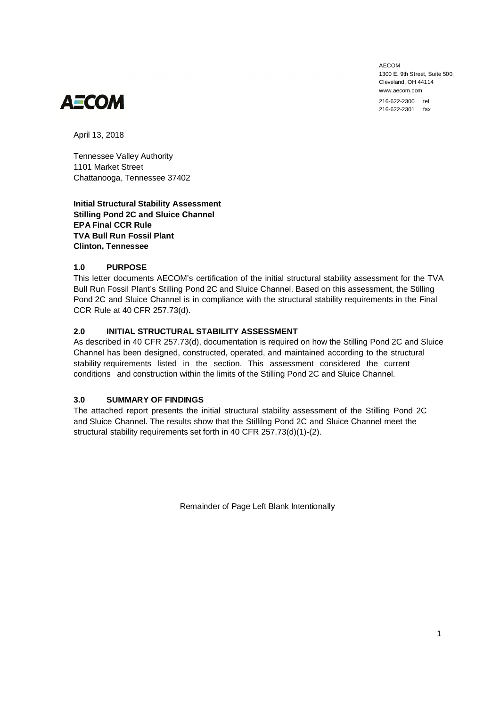AECOM 1300 F. 9th Street, Suite 500 Cleveland, OH 44114 www.aecom.com

216-622-2300 tel 216-622-2301 fax



April 13, 2018

Tennessee Valley Authority 1101 Market Street Chattanooga, Tennessee 37402

**Initial Structural Stability Assessment Stilling Pond 2C and Sluice Channel EPA Final CCR Rule TVA Bull Run Fossil Plant Clinton, Tennessee**

### **1.0 PURPOSE**

This letter documents AECOM's certification of the initial structural stability assessment for the TVA Bull Run Fossil Plant's Stilling Pond 2C and Sluice Channel. Based on this assessment, the Stilling Pond 2C and Sluice Channel is in compliance with the structural stability requirements in the Final CCR Rule at 40 CFR 257.73(d).

### **2.0 INITIAL STRUCTURAL STABILITY ASSESSMENT**

As described in 40 CFR 257.73(d), documentation is required on how the Stilling Pond 2C and Sluice Channel has been designed, constructed, operated, and maintained according to the structural stability requirements listed in the section. This assessment considered the current conditions and construction within the limits of the Stilling Pond 2C and Sluice Channel.

### **3.0 SUMMARY OF FINDINGS**

The attached report presents the initial structural stability assessment of the Stilling Pond 2C and Sluice Channel. The results show that the Stillilng Pond 2C and Sluice Channel meet the structural stability requirements set forth in 40 CFR 257.73(d)(1)-(2).

Remainder of Page Left Blank Intentionally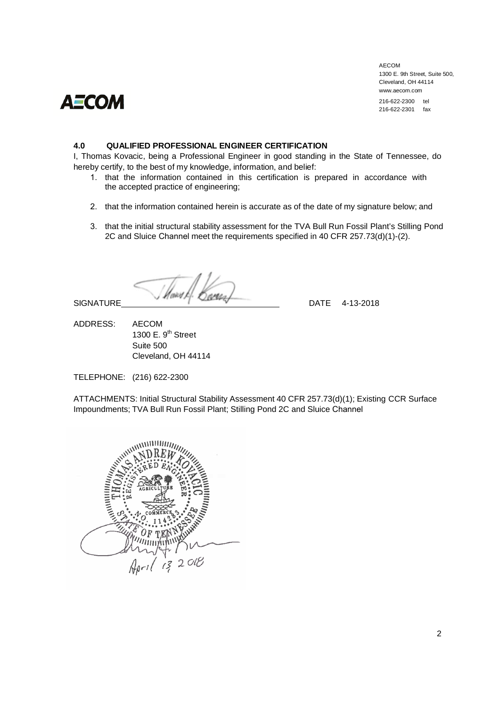# **AECOM**

AECOM 1300 E. 9th Street, Suite 500, Cleveland, OH 44114 www.aecom.com

216-622-2300 tel 216-622-2301 fax

### **4.0 QUALIFIED PROFESSIONAL ENGINEER CERTIFICATION**

I, Thomas Kovacic, being a Professional Engineer in good standing in the State of Tennessee, do hereby certify, to the best of my knowledge, information, and belief:

- 1. that the information contained in this certification is prepared in accordance with the accepted practice of engineering;
- 2. that the information contained herein is accurate as of the date of my signature below; and
- 3. that the initial structural stability assessment for the TVA Bull Run Fossil Plant's Stilling Pond 2C and Sluice Channel meet the requirements specified in 40 CFR 257.73(d)(1)-(2).

Harry)  $S$ IGNATURE  $M$ <sup>*Makel E*.  $D_M$ </sup>

ADDRESS: AECOM 1300  $E.9<sup>th</sup>$  Street Suite 500 Cleveland, OH 44114

TELEPHONE: (216) 622-2300

ATTACHMENTS: Initial Structural Stability Assessment 40 CFR 257.73(d)(1); Existing CCR Surface Impoundments; TVA Bull Run Fossil Plant; Stilling Pond 2C and Sluice Channel

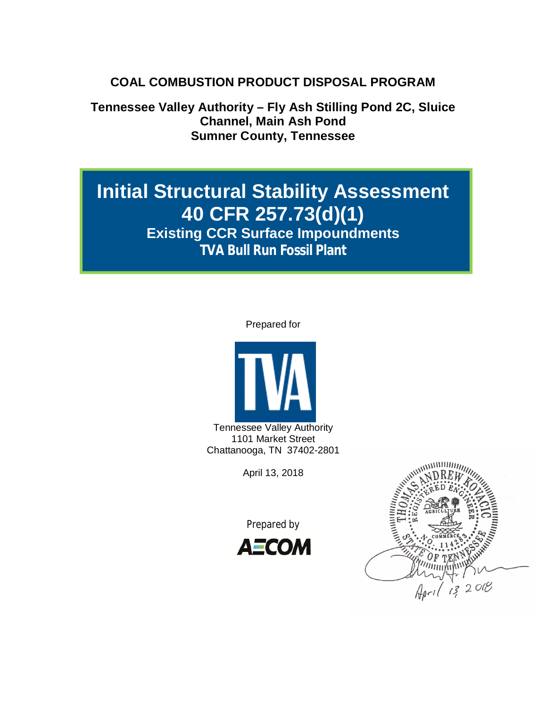# **COAL COMBUSTION PRODUCT DISPOSAL PROGRAM**

**Tennessee Valley Authority – Fly Ash Stilling Pond 2C, Sluice Channel, Main Ash Pond Sumner County, Tennessee**

# **Initial Structural Stability Assessment 40 CFR 257.73(d)(1)**

**Existing CCR Surface Impoundments TVA Bull Run Fossil Plant**

### Prepared for



Tennessee Valley Authority 1101 Market Street Chattanooga, TN 37402-2801

April 13, 2018

Prepared by



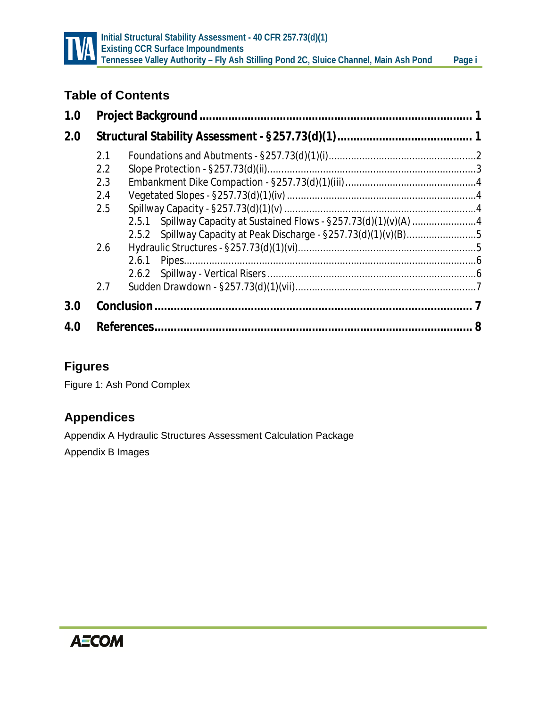

# **Table of Contents**

| 1.0 |     |                                                                    |  |  |
|-----|-----|--------------------------------------------------------------------|--|--|
| 2.0 |     |                                                                    |  |  |
|     | 2.1 |                                                                    |  |  |
|     | 2.2 |                                                                    |  |  |
|     | 2.3 |                                                                    |  |  |
|     | 2.4 |                                                                    |  |  |
|     | 2.5 |                                                                    |  |  |
|     |     | 2.5.1 Spillway Capacity at Sustained Flows - §257.73(d)(1)(v)(A) 4 |  |  |
|     |     | 2.5.2 Spillway Capacity at Peak Discharge - §257.73(d)(1)(v)(B)5   |  |  |
|     | 2.6 |                                                                    |  |  |
|     |     |                                                                    |  |  |
|     |     |                                                                    |  |  |
|     | 2.7 |                                                                    |  |  |
| 3.0 |     |                                                                    |  |  |
| 4.0 |     |                                                                    |  |  |

# **Figures**

Figure 1: Ash Pond Complex

# **Appendices**

Appendix A Hydraulic Structures Assessment Calculation Package Appendix B Images

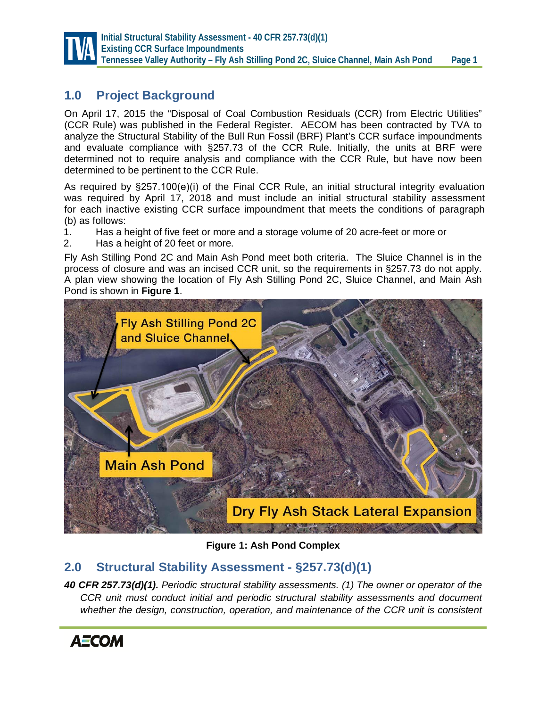

# **1.0 Project Background**

On April 17, 2015 the "Disposal of Coal Combustion Residuals (CCR) from Electric Utilities" (CCR Rule) was published in the Federal Register. AECOM has been contracted by TVA to analyze the Structural Stability of the Bull Run Fossil (BRF) Plant's CCR surface impoundments and evaluate compliance with §257.73 of the CCR Rule. Initially, the units at BRF were determined not to require analysis and compliance with the CCR Rule, but have now been determined to be pertinent to the CCR Rule.

As required by §257.100(e)(i) of the Final CCR Rule, an initial structural integrity evaluation was required by April 17, 2018 and must include an initial structural stability assessment for each inactive existing CCR surface impoundment that meets the conditions of paragraph (b) as follows:

- 1. Has a height of five feet or more and a storage volume of 20 acre-feet or more or
- 2. Has a height of 20 feet or more.

Fly Ash Stilling Pond 2C and Main Ash Pond meet both criteria. The Sluice Channel is in the process of closure and was an incised CCR unit, so the requirements in §257.73 do not apply. A plan view showing the location of Fly Ash Stilling Pond 2C, Sluice Channel, and Main Ash Pond is shown in **Figure 1**.



**Figure 1: Ash Pond Complex**

# **2.0 Structural Stability Assessment - §257.73(d)(1)**

*40 CFR 257.73(d)(1). Periodic structural stability assessments. (1) The owner or operator of the CCR unit must conduct initial and periodic structural stability assessments and document whether the design, construction, operation, and maintenance of the CCR unit is consistent*

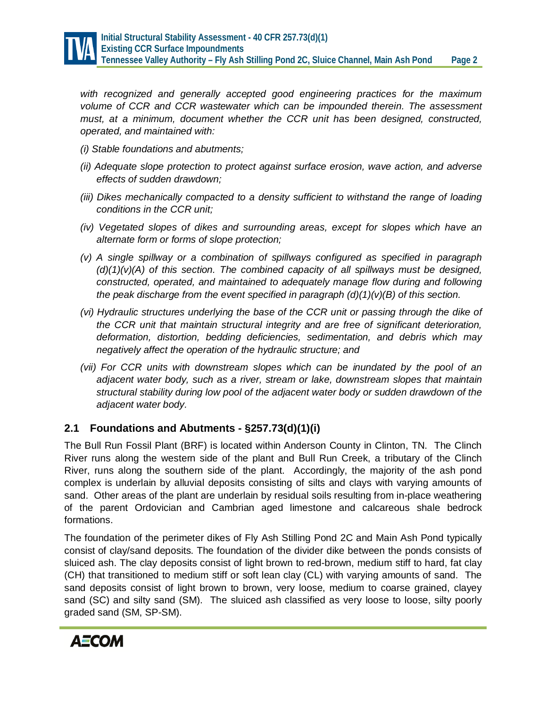

*with recognized and generally accepted good engineering practices for the maximum volume of CCR and CCR wastewater which can be impounded therein. The assessment must, at a minimum, document whether the CCR unit has been designed, constructed, operated, and maintained with:*

- *(i) Stable foundations and abutments;*
- *(ii) Adequate slope protection to protect against surface erosion, wave action, and adverse effects of sudden drawdown;*
- *(iii) Dikes mechanically compacted to a density sufficient to withstand the range of loading conditions in the CCR unit;*
- *(iv) Vegetated slopes of dikes and surrounding areas, except for slopes which have an alternate form or forms of slope protection;*
- *(v) A single spillway or a combination of spillways configured as specified in paragraph (d)(1)(v)(A) of this section. The combined capacity of all spillways must be designed, constructed, operated, and maintained to adequately manage flow during and following the peak discharge from the event specified in paragraph (d)(1)(v)(B) of this section.*
- *(vi) Hydraulic structures underlying the base of the CCR unit or passing through the dike of the CCR unit that maintain structural integrity and are free of significant deterioration, deformation, distortion, bedding deficiencies, sedimentation, and debris which may negatively affect the operation of the hydraulic structure; and*
- *(vii) For CCR units with downstream slopes which can be inundated by the pool of an adjacent water body, such as a river, stream or lake, downstream slopes that maintain structural stability during low pool of the adjacent water body or sudden drawdown of the adjacent water body.*

### **2.1 Foundations and Abutments - §257.73(d)(1)(i)**

The Bull Run Fossil Plant (BRF) is located within Anderson County in Clinton, TN. The Clinch River runs along the western side of the plant and Bull Run Creek, a tributary of the Clinch River, runs along the southern side of the plant. Accordingly, the majority of the ash pond complex is underlain by alluvial deposits consisting of silts and clays with varying amounts of sand. Other areas of the plant are underlain by residual soils resulting from in-place weathering of the parent Ordovician and Cambrian aged limestone and calcareous shale bedrock formations.

The foundation of the perimeter dikes of Fly Ash Stilling Pond 2C and Main Ash Pond typically consist of clay/sand deposits. The foundation of the divider dike between the ponds consists of sluiced ash. The clay deposits consist of light brown to red-brown, medium stiff to hard, fat clay (CH) that transitioned to medium stiff or soft lean clay (CL) with varying amounts of sand. The sand deposits consist of light brown to brown, very loose, medium to coarse grained, clayey sand (SC) and silty sand (SM). The sluiced ash classified as very loose to loose, silty poorly graded sand (SM, SP-SM).

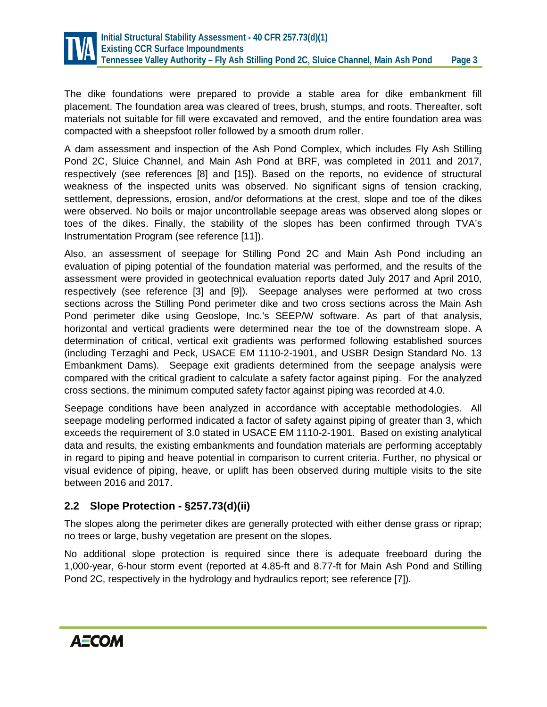

The dike foundations were prepared to provide a stable area for dike embankment fill placement. The foundation area was cleared of trees, brush, stumps, and roots. Thereafter, soft materials not suitable for fill were excavated and removed, and the entire foundation area was compacted with a sheepsfoot roller followed by a smooth drum roller.

A dam assessment and inspection of the Ash Pond Complex, which includes Fly Ash Stilling Pond 2C, Sluice Channel, and Main Ash Pond at BRF, was completed in 2011 and 2017, respectively (see references [8] and [15]). Based on the reports, no evidence of structural weakness of the inspected units was observed. No significant signs of tension cracking, settlement, depressions, erosion, and/or deformations at the crest, slope and toe of the dikes were observed. No boils or major uncontrollable seepage areas was observed along slopes or toes of the dikes. Finally, the stability of the slopes has been confirmed through TVA's Instrumentation Program (see reference [11]).

Also, an assessment of seepage for Stilling Pond 2C and Main Ash Pond including an evaluation of piping potential of the foundation material was performed, and the results of the assessment were provided in geotechnical evaluation reports dated July 2017 and April 2010, respectively (see reference [3] and [9]). Seepage analyses were performed at two cross sections across the Stilling Pond perimeter dike and two cross sections across the Main Ash Pond perimeter dike using Geoslope, Inc.'s SEEP/W software. As part of that analysis, horizontal and vertical gradients were determined near the toe of the downstream slope. A determination of critical, vertical exit gradients was performed following established sources (including Terzaghi and Peck, USACE EM 1110-2-1901, and USBR Design Standard No. 13 Embankment Dams). Seepage exit gradients determined from the seepage analysis were compared with the critical gradient to calculate a safety factor against piping. For the analyzed cross sections, the minimum computed safety factor against piping was recorded at 4.0.

Seepage conditions have been analyzed in accordance with acceptable methodologies. All seepage modeling performed indicated a factor of safety against piping of greater than 3, which exceeds the requirement of 3.0 stated in USACE EM 1110-2-1901. Based on existing analytical data and results, the existing embankments and foundation materials are performing acceptably in regard to piping and heave potential in comparison to current criteria. Further, no physical or visual evidence of piping, heave, or uplift has been observed during multiple visits to the site between 2016 and 2017.

### **2.2 Slope Protection - §257.73(d)(ii)**

The slopes along the perimeter dikes are generally protected with either dense grass or riprap; no trees or large, bushy vegetation are present on the slopes.

No additional slope protection is required since there is adequate freeboard during the 1,000-year, 6-hour storm event (reported at 4.85-ft and 8.77-ft for Main Ash Pond and Stilling Pond 2C, respectively in the hydrology and hydraulics report; see reference [7]).

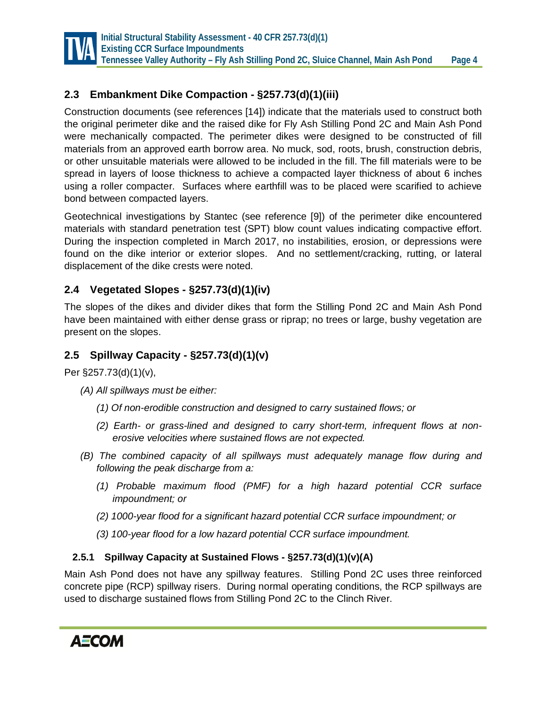

# **2.3 Embankment Dike Compaction - §257.73(d)(1)(iii)**

Construction documents (see references [14]) indicate that the materials used to construct both the original perimeter dike and the raised dike for Fly Ash Stilling Pond 2C and Main Ash Pond were mechanically compacted. The perimeter dikes were designed to be constructed of fill materials from an approved earth borrow area. No muck, sod, roots, brush, construction debris, or other unsuitable materials were allowed to be included in the fill. The fill materials were to be spread in layers of loose thickness to achieve a compacted layer thickness of about 6 inches using a roller compacter. Surfaces where earthfill was to be placed were scarified to achieve bond between compacted layers.

Geotechnical investigations by Stantec (see reference [9]) of the perimeter dike encountered materials with standard penetration test (SPT) blow count values indicating compactive effort. During the inspection completed in March 2017, no instabilities, erosion, or depressions were found on the dike interior or exterior slopes. And no settlement/cracking, rutting, or lateral displacement of the dike crests were noted.

# **2.4 Vegetated Slopes - §257.73(d)(1)(iv)**

The slopes of the dikes and divider dikes that form the Stilling Pond 2C and Main Ash Pond have been maintained with either dense grass or riprap; no trees or large, bushy vegetation are present on the slopes.

# **2.5 Spillway Capacity - §257.73(d)(1)(v)**

Per §257.73(d)(1)(v),

- *(A) All spillways must be either:*
	- *(1) Of non-erodible construction and designed to carry sustained flows; or*
	- *(2) Earth- or grass-lined and designed to carry short-term, infrequent flows at nonerosive velocities where sustained flows are not expected.*
- *(B) The combined capacity of all spillways must adequately manage flow during and following the peak discharge from a:*
	- *(1) Probable maximum flood (PMF) for a high hazard potential CCR surface impoundment; or*
	- *(2) 1000-year flood for a significant hazard potential CCR surface impoundment; or*
	- *(3) 100-year flood for a low hazard potential CCR surface impoundment.*

### **2.5.1 Spillway Capacity at Sustained Flows - §257.73(d)(1)(v)(A)**

Main Ash Pond does not have any spillway features. Stilling Pond 2C uses three reinforced concrete pipe (RCP) spillway risers. During normal operating conditions, the RCP spillways are used to discharge sustained flows from Stilling Pond 2C to the Clinch River.

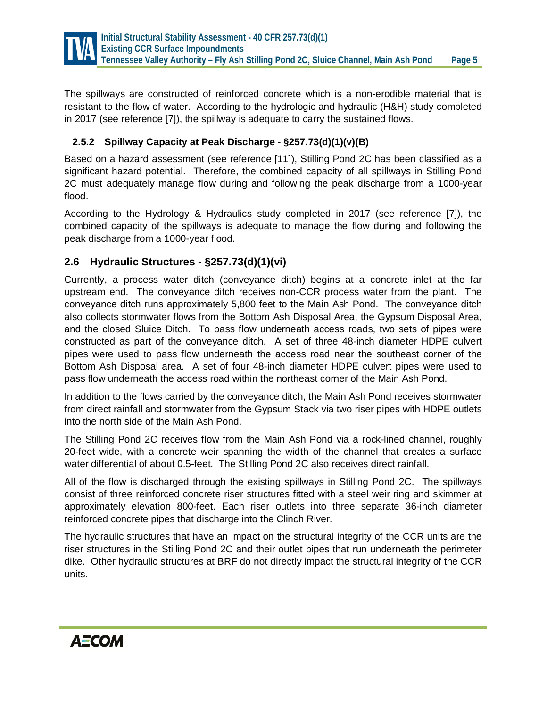

The spillways are constructed of reinforced concrete which is a non-erodible material that is resistant to the flow of water. According to the hydrologic and hydraulic (H&H) study completed in 2017 (see reference [7]), the spillway is adequate to carry the sustained flows.

### **2.5.2 Spillway Capacity at Peak Discharge - §257.73(d)(1)(v)(B)**

Based on a hazard assessment (see reference [11]), Stilling Pond 2C has been classified as a significant hazard potential. Therefore, the combined capacity of all spillways in Stilling Pond 2C must adequately manage flow during and following the peak discharge from a 1000-year flood.

According to the Hydrology & Hydraulics study completed in 2017 (see reference [7]), the combined capacity of the spillways is adequate to manage the flow during and following the peak discharge from a 1000-year flood.

### **2.6 Hydraulic Structures - §257.73(d)(1)(vi)**

Currently, a process water ditch (conveyance ditch) begins at a concrete inlet at the far upstream end. The conveyance ditch receives non-CCR process water from the plant. The conveyance ditch runs approximately 5,800 feet to the Main Ash Pond. The conveyance ditch also collects stormwater flows from the Bottom Ash Disposal Area, the Gypsum Disposal Area, and the closed Sluice Ditch. To pass flow underneath access roads, two sets of pipes were constructed as part of the conveyance ditch. A set of three 48-inch diameter HDPE culvert pipes were used to pass flow underneath the access road near the southeast corner of the Bottom Ash Disposal area. A set of four 48-inch diameter HDPE culvert pipes were used to pass flow underneath the access road within the northeast corner of the Main Ash Pond.

In addition to the flows carried by the conveyance ditch, the Main Ash Pond receives stormwater from direct rainfall and stormwater from the Gypsum Stack via two riser pipes with HDPE outlets into the north side of the Main Ash Pond.

The Stilling Pond 2C receives flow from the Main Ash Pond via a rock-lined channel, roughly 20-feet wide, with a concrete weir spanning the width of the channel that creates a surface water differential of about 0.5-feet. The Stilling Pond 2C also receives direct rainfall.

All of the flow is discharged through the existing spillways in Stilling Pond 2C. The spillways consist of three reinforced concrete riser structures fitted with a steel weir ring and skimmer at approximately elevation 800-feet. Each riser outlets into three separate 36-inch diameter reinforced concrete pipes that discharge into the Clinch River.

The hydraulic structures that have an impact on the structural integrity of the CCR units are the riser structures in the Stilling Pond 2C and their outlet pipes that run underneath the perimeter dike. Other hydraulic structures at BRF do not directly impact the structural integrity of the CCR units.

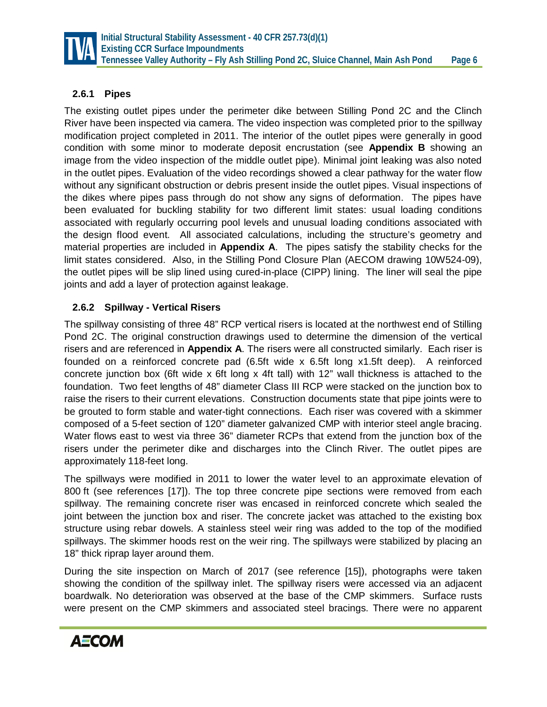

### **2.6.1 Pipes**

The existing outlet pipes under the perimeter dike between Stilling Pond 2C and the Clinch River have been inspected via camera. The video inspection was completed prior to the spillway modification project completed in 2011. The interior of the outlet pipes were generally in good condition with some minor to moderate deposit encrustation (see **Appendix B** showing an image from the video inspection of the middle outlet pipe). Minimal joint leaking was also noted in the outlet pipes. Evaluation of the video recordings showed a clear pathway for the water flow without any significant obstruction or debris present inside the outlet pipes. Visual inspections of the dikes where pipes pass through do not show any signs of deformation. The pipes have been evaluated for buckling stability for two different limit states: usual loading conditions associated with regularly occurring pool levels and unusual loading conditions associated with the design flood event. All associated calculations, including the structure's geometry and material properties are included in **Appendix A**. The pipes satisfy the stability checks for the limit states considered. Also, in the Stilling Pond Closure Plan (AECOM drawing 10W524-09), the outlet pipes will be slip lined using cured-in-place (CIPP) lining. The liner will seal the pipe joints and add a layer of protection against leakage.

### **2.6.2 Spillway - Vertical Risers**

The spillway consisting of three 48" RCP vertical risers is located at the northwest end of Stilling Pond 2C. The original construction drawings used to determine the dimension of the vertical risers and are referenced in **Appendix A**. The risers were all constructed similarly. Each riser is founded on a reinforced concrete pad (6.5ft wide x 6.5ft long x1.5ft deep). A reinforced concrete junction box (6ft wide x 6ft long x 4ft tall) with 12" wall thickness is attached to the foundation. Two feet lengths of 48" diameter Class III RCP were stacked on the junction box to raise the risers to their current elevations. Construction documents state that pipe joints were to be grouted to form stable and water-tight connections. Each riser was covered with a skimmer composed of a 5-feet section of 120" diameter galvanized CMP with interior steel angle bracing. Water flows east to west via three 36" diameter RCPs that extend from the junction box of the risers under the perimeter dike and discharges into the Clinch River. The outlet pipes are approximately 118-feet long.

The spillways were modified in 2011 to lower the water level to an approximate elevation of 800 ft (see references [17]). The top three concrete pipe sections were removed from each spillway. The remaining concrete riser was encased in reinforced concrete which sealed the joint between the junction box and riser. The concrete jacket was attached to the existing box structure using rebar dowels. A stainless steel weir ring was added to the top of the modified spillways. The skimmer hoods rest on the weir ring. The spillways were stabilized by placing an 18" thick riprap layer around them.

During the site inspection on March of 2017 (see reference [15]), photographs were taken showing the condition of the spillway inlet. The spillway risers were accessed via an adjacent boardwalk. No deterioration was observed at the base of the CMP skimmers. Surface rusts were present on the CMP skimmers and associated steel bracings. There were no apparent

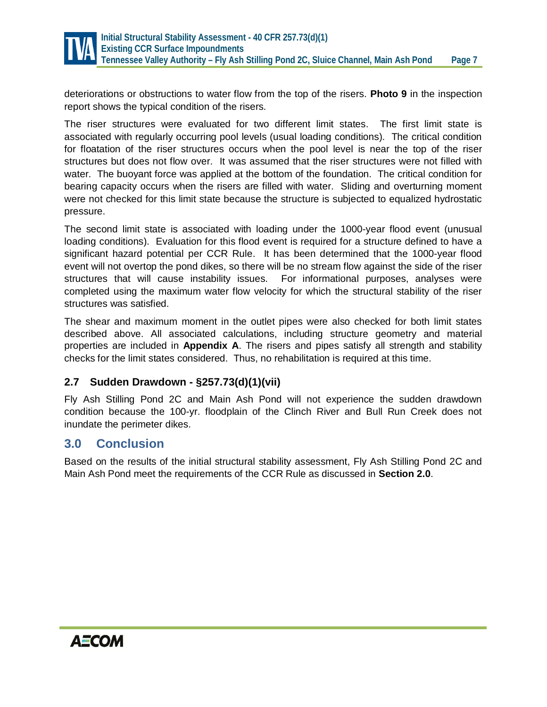

deteriorations or obstructions to water flow from the top of the risers. **Photo 9** in the inspection report shows the typical condition of the risers.

The riser structures were evaluated for two different limit states. The first limit state is associated with regularly occurring pool levels (usual loading conditions). The critical condition for floatation of the riser structures occurs when the pool level is near the top of the riser structures but does not flow over. It was assumed that the riser structures were not filled with water. The buoyant force was applied at the bottom of the foundation. The critical condition for bearing capacity occurs when the risers are filled with water. Sliding and overturning moment were not checked for this limit state because the structure is subjected to equalized hydrostatic pressure.

The second limit state is associated with loading under the 1000-year flood event (unusual loading conditions). Evaluation for this flood event is required for a structure defined to have a significant hazard potential per CCR Rule. It has been determined that the 1000-year flood event will not overtop the pond dikes, so there will be no stream flow against the side of the riser structures that will cause instability issues. For informational purposes, analyses were completed using the maximum water flow velocity for which the structural stability of the riser structures was satisfied.

The shear and maximum moment in the outlet pipes were also checked for both limit states described above. All associated calculations, including structure geometry and material properties are included in **Appendix A**. The risers and pipes satisfy all strength and stability checks for the limit states considered. Thus, no rehabilitation is required at this time.

### **2.7 Sudden Drawdown - §257.73(d)(1)(vii)**

Fly Ash Stilling Pond 2C and Main Ash Pond will not experience the sudden drawdown condition because the 100-yr. floodplain of the Clinch River and Bull Run Creek does not inundate the perimeter dikes.

# **3.0 Conclusion**

Based on the results of the initial structural stability assessment, Fly Ash Stilling Pond 2C and Main Ash Pond meet the requirements of the CCR Rule as discussed in **Section 2.0**.

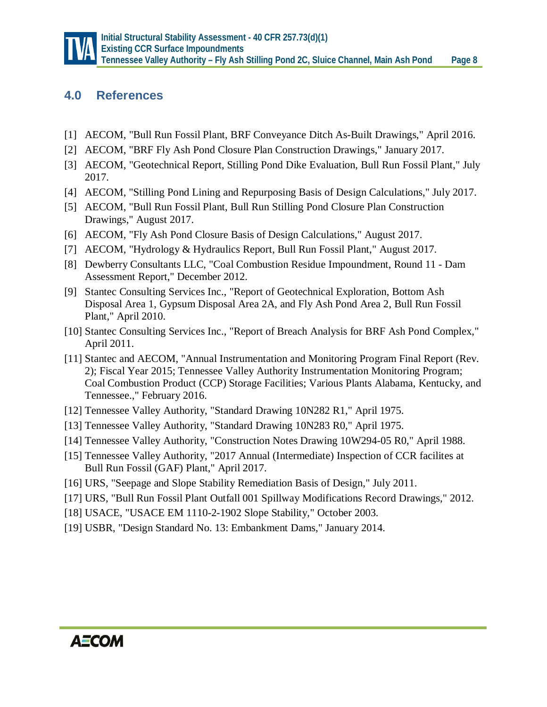

# **4.0 References**

- [1] AECOM, "Bull Run Fossil Plant, BRF Conveyance Ditch As-Built Drawings," April 2016.
- [2] AECOM, "BRF Fly Ash Pond Closure Plan Construction Drawings," January 2017.
- [3] AECOM, "Geotechnical Report, Stilling Pond Dike Evaluation, Bull Run Fossil Plant," July 2017.
- [4] AECOM, "Stilling Pond Lining and Repurposing Basis of Design Calculations," July 2017.
- [5] AECOM, "Bull Run Fossil Plant, Bull Run Stilling Pond Closure Plan Construction Drawings," August 2017.
- [6] AECOM, "Fly Ash Pond Closure Basis of Design Calculations," August 2017.
- [7] AECOM, "Hydrology & Hydraulics Report, Bull Run Fossil Plant," August 2017.
- [8] Dewberry Consultants LLC, "Coal Combustion Residue Impoundment, Round 11 Dam Assessment Report," December 2012.
- [9] Stantec Consulting Services Inc., "Report of Geotechnical Exploration, Bottom Ash Disposal Area 1, Gypsum Disposal Area 2A, and Fly Ash Pond Area 2, Bull Run Fossil Plant," April 2010.
- [10] Stantec Consulting Services Inc., "Report of Breach Analysis for BRF Ash Pond Complex," April 2011.
- [11] Stantec and AECOM, "Annual Instrumentation and Monitoring Program Final Report (Rev. 2); Fiscal Year 2015; Tennessee Valley Authority Instrumentation Monitoring Program; Coal Combustion Product (CCP) Storage Facilities; Various Plants Alabama, Kentucky, and Tennessee.," February 2016.
- [12] Tennessee Valley Authority, "Standard Drawing 10N282 R1," April 1975.
- [13] Tennessee Valley Authority, "Standard Drawing 10N283 R0," April 1975.
- [14] Tennessee Valley Authority, "Construction Notes Drawing 10W294-05 R0," April 1988.
- [15] Tennessee Valley Authority, "2017 Annual (Intermediate) Inspection of CCR facilites at Bull Run Fossil (GAF) Plant," April 2017.
- [16] URS, "Seepage and Slope Stability Remediation Basis of Design," July 2011.
- [17] URS, "Bull Run Fossil Plant Outfall 001 Spillway Modifications Record Drawings," 2012.
- [18] USACE, "USACE EM 1110-2-1902 Slope Stability," October 2003.
- [19] USBR, "Design Standard No. 13: Embankment Dams," January 2014.

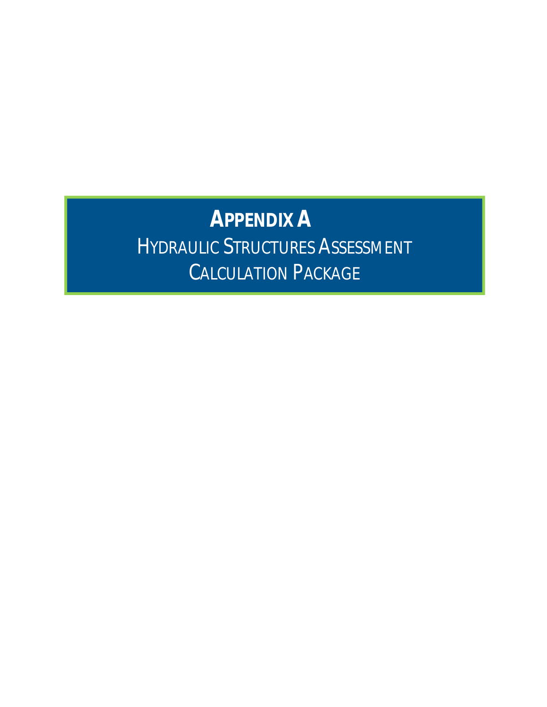# **APPENDIX A** HYDRAULIC STRUCTURES ASSESSMENT CALCULATION PACKAGE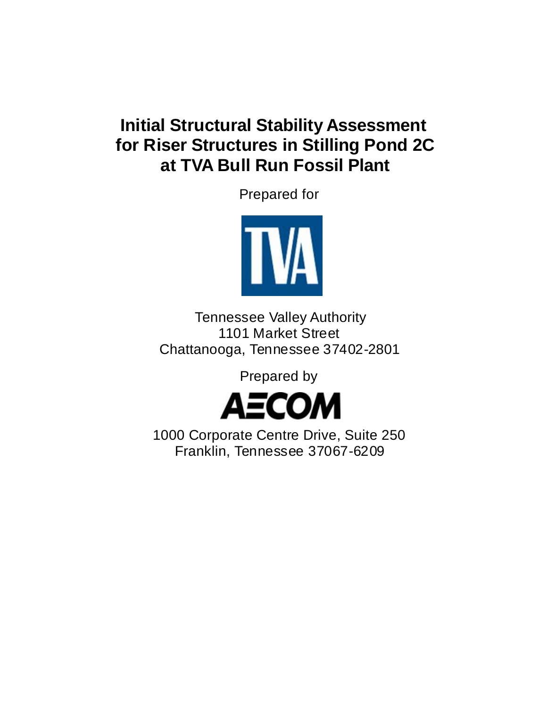# **Initial Structural Stability Assessment for Riser Structures in Stilling Pond 2C at TVA Bull Run Fossil Plant**

Prepared for



Tennessee Valley Authority 1101 Market Street Chattanooga, Tennessee 37402-2801

Prepared by



1000 Corporate Centre Drive, Suite 250 Franklin, Tennessee 37067-6209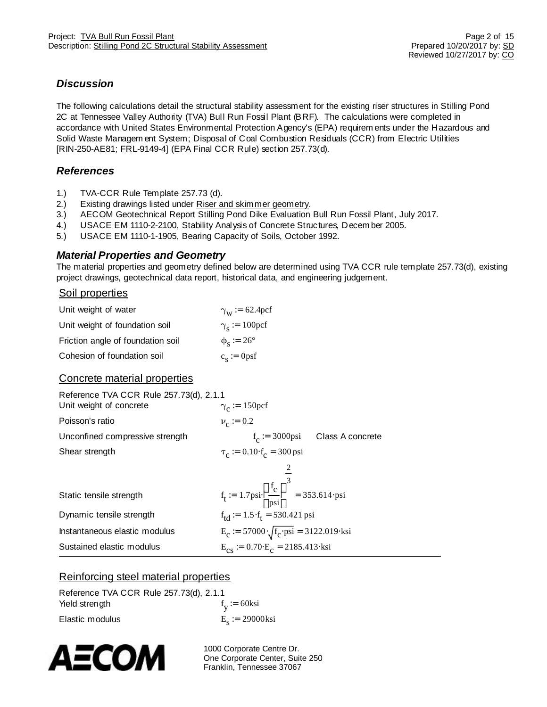### *Discussion*

The following calculations detail the structural stability assessment for the existing riser structures in Stilling Pond 2C at Tennessee Valley Authority (TVA) Bull Run Fossil Plant (BRF). The calculations were completed in accordance with United States Environmental Protection Agency's (EPA) requirem ents under the Hazardous and Solid Waste Managem ent System; Disposal of Coal Combustion Residuals (CCR) from Electric Utilities [RIN-250-AE81; FRL-9149-4] (EPA Final CCR Rule) section 257.73(d).

### *References*

- 1.) TVA-CCR Rule Template 257.73 (d).
- 2.) Existing drawings listed under Riser and skimmer geometry.
- 3.) AECOM Geotechnical Report Stilling Pond Dike Evaluation Bull Run Fossil Plant, July 2017.
- 4.) USACE EM 1110-2-2100, Stability Analysis of Concrete Structures, Decem ber 2005.
- 5.) USACE EM 1110-1-1905, Bearing Capacity of Soils, October 1992.

### *Material Properties and Geometry*

The material properties and geometry defined below are determined using TVA CCR rule template 257.73(d), existing project drawings, geotechnical data report, historical data, and engineering judgement.

### Soil properties

| Unit weight of water              | $\gamma_{\rm w}$ = 62.4pcf  |
|-----------------------------------|-----------------------------|
| Unit weight of foundation soil    | $\gamma_s = 100 \text{pcf}$ |
| Friction angle of foundation soil | $\phi_{\rm s}$ := 26°       |
| Cohesion of foundation soil       | $c_s := 0$ psf              |

### Concrete material properties

| Reference TVA CCR Rule 257.73(d), 2.1.1<br>Unit weight of concrete | $\gamma_c$ = 150 pcf                                                                                                            |
|--------------------------------------------------------------------|---------------------------------------------------------------------------------------------------------------------------------|
| Poisson's ratio                                                    | $v_c = 0.2$                                                                                                                     |
| Unconfined compressive strength                                    | $f_c := 3000 \text{psi}$ Class A concrete                                                                                       |
| Shear strength                                                     | $\tau_c := 0.10 \lambda_c = 300 \,\text{psi}$                                                                                   |
|                                                                    |                                                                                                                                 |
|                                                                    |                                                                                                                                 |
| Static tensile strength                                            | $f_t = 1.7 \text{psi}\frac{\mathbf{a}f_c}{\mathbf{b}^{2}}\frac{\ddot{\mathbf{o}}^3}{\dot{\mathbf{e}}^{2}} = 353.614 \text{psi}$ |
| Dynamic tensile strength                                           | $f_{td} := 1.5 \times f_t = 530.421$ psi                                                                                        |
| Instantaneous elastic modulus                                      | $E_c = 57000 \times \sqrt{f_c \cdot \text{psi}} = 3122.019 \cdot \text{ksi}$                                                    |
| Sustained elastic modulus                                          | $E_{cs}$ = 0.70 $E_c$ = 2185.413 $\star$ ksi                                                                                    |

### Reinforcing steel material properties

| Reference TVA CCR Rule 257.73(d), 2.1.1 |                     |
|-----------------------------------------|---------------------|
| Yield strength                          | $f_v := 60$ ksi     |
| Elastic modulus                         | $E_{s}$ = 29000 ksi |

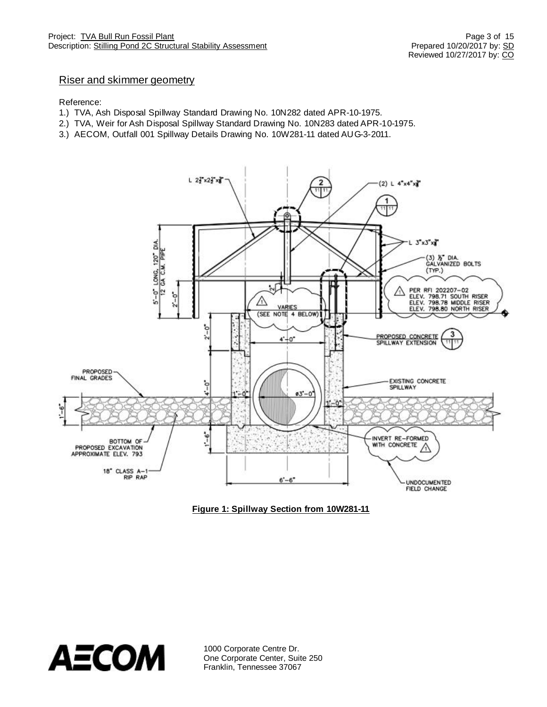### Riser and skimmer geometry

#### Reference:

- 1.) TVA, Ash Disposal Spillway Standard Drawing No. 10N282 dated APR-10-1975.
- 2.) TVA, Weir for Ash Disposal Spillway Standard Drawing No. 10N283 dated APR-10-1975.
- 3.) AECOM, Outfall 001 Spillway Details Drawing No. 10W281-11 dated AUG-3-2011.



**Figure 1: Spillway Section from 10W281-11**

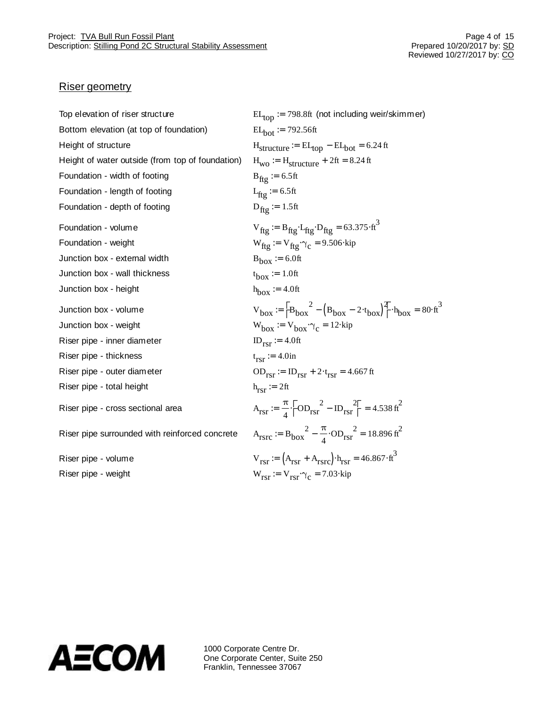### Riser geometry

| Top elevation of riser structure                 | $EL_{top}$ := 798.8ft (not including weir/skimmer)                                                                            |
|--------------------------------------------------|-------------------------------------------------------------------------------------------------------------------------------|
| Bottom elevation (at top of foundation)          | $EL_{hot}$ = 792.56ft                                                                                                         |
| Height of structure                              | $H_{structure} := EL_{top} - EL_{bot} = 6.24 \text{ ft}$                                                                      |
| Height of water outside (from top of foundation) | $H_{\text{WO}} := H_{\text{structure}} + 2 \text{ft} = 8.24 \text{ ft}$                                                       |
| Foundation - width of footing                    | $B_{\text{ftg}}$ = 6.5ft                                                                                                      |
| Foundation - length of footing                   | $L_{\text{ftg}} = 6.5 \text{ft}$                                                                                              |
| Foundation - depth of footing                    | $D_{\text{ftg}} = 1.5 \text{ft}$                                                                                              |
| Foundation - volume                              | $V_{\text{fig}} = B_{\text{fig}}A_{\text{fig}}D_{\text{fig}} = 63.375 \text{m}^3$                                             |
| Foundation - weight                              | $W_{\text{ftg}} = V_{\text{ftg}} \times_{C} = 9.506 \times$ kip                                                               |
| Junction box - external width                    | $B_{\text{box}} := 6.0 \text{ft}$                                                                                             |
| Junction box - wall thickness                    | $t_{\text{box}} \coloneq 1.0$ ft                                                                                              |
| Junction box - height                            | $h_{\text{box}} := 4.0$ ft                                                                                                    |
| Junction box - volume                            | $V_{\text{box}} = \frac{2}{3}B_{\text{box}}^2 - (B_{\text{box}} - 2x_{\text{box}})^2$ $(2x_{\text{box}} + 2x_{\text{box}}^2)$ |
| Junction box - weight                            | $W_{\text{box}} = V_{\text{box}} \times_{C} = 12 \times$ kip                                                                  |
| Riser pipe - inner diameter                      | $ID_{rsr} := 4.0ft$                                                                                                           |
| Riser pipe - thickness                           | $t_{\text{ref}} := 4.0$ in                                                                                                    |
| Riser pipe - outer diameter                      | $OD_{\text{rsr}} := ID_{\text{rsr}} + 2x_{\text{rsr}} = 4.667 \text{ ft}$                                                     |
| Riser pipe - total height                        | $h_{rsr} := 2ft$                                                                                                              |
| Riser pipe - cross sectional area                | $A_{rsr} = \frac{\pi}{4} \xi \frac{\partial}{\partial D_{rsr}}^2 - ID_{rsr} \frac{2\ddot{c}}{\dot{c}} = 4.538 \text{ ft}^2$   |
|                                                  |                                                                                                                               |
| Riser pipe surrounded with reinforced concrete   | $A_{rsrc}$ = $B_{box}^2 - \frac{\pi}{4} \times D_{rsr}^2 = 18.896 \text{ ft}^2$                                               |
| Riser pipe - volume                              | $V_{rsr} := (A_{rsr} + A_{rsrc})A_{rsr} = 46.867Af^{3}$                                                                       |

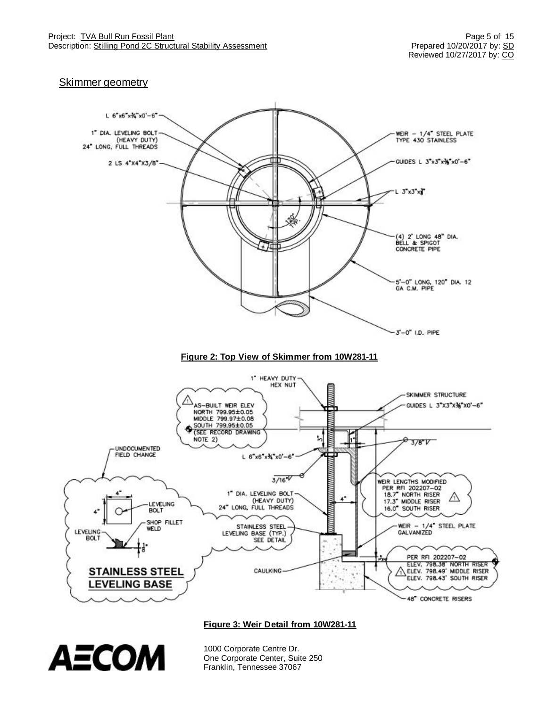### **Skimmer geometry**



**Figure 3: Weir Detail from 10W281-11**

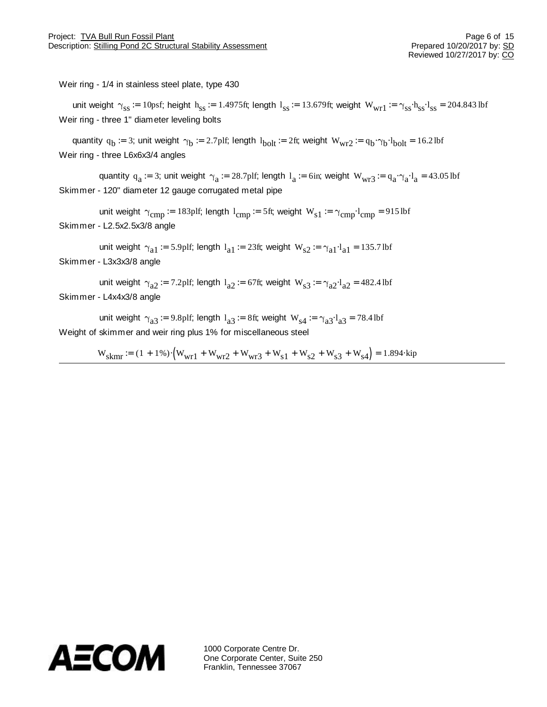Weir ring - 1/4 in stainless steel plate, type 430

unit weight  $\gamma_{ss}$  := 10psf; height  $h_{ss}$  := 1.4975ft; length  $l_{ss}$  := 13.679ft; weight  $W_{wr1}$  :=  $\gamma_{ss}$  $h_{ss}$  $M_{ss}$  = 204.843 lbf Weir ring - three 1" diameter leveling bolts

quantity  $q_b = 3$ ; unit weight  $\gamma_b = 2.7$ plf; length  $l_{\text{bolt}} = 2$ ft; weight  $W_{\text{wr2}} = q_b \times_l W_{\text{bolt}} = 16.2$ lbf Weir ring - three L6x6x3/4 angles

quantity  $q_a = 3$ ; unit weight  $\gamma_a = 28.7$ plf; length  $l_a = 6$ in; weight  $W_{wr3} = q_a \times_l a A_a = 43.05$ lbf Skimmer - 120" diameter 12 gauge corrugated metal pipe

unit weight  $\gamma_{\text{cmp}} = 183$ plf; length  $1_{\text{cmp}} = 5$ ft; weight  $W_{s1} = \gamma_{\text{cmp}} \lambda_{\text{cmp}} = 915$ lbf Skimmer - L2.5x2.5x3/8 angle

unit weight  $\gamma_{a1}$  := 5.9plf; length  $l_{a1}$  := 23ft; weight  $W_{s2}$  :=  $\gamma_{a1}A_{a1}$  = 135.7lbf Skimmer - L3x3x3/8 angle

unit weight  $\gamma_{a2}$  := 7.2plf; length  $l_{a2}$  := 67ft; weight  $W_{s3}$  :=  $\gamma_{a2}A_{a2}$  = 482.4 lbf Skimmer - L4x4x3/8 angle

unit weight  $\gamma_{a3}$  := 9.8plf; length  $l_{a3}$  := 8ft; weight  $W_{s4}$  :=  $\gamma_{a3}A_{a3}$  = 78.4lbf Weight of skimmer and weir ring plus 1% for miscellaneous steel

 $W_{\text{skmr}} = (1 + 1\%) \left( W_{\text{wr}1} + W_{\text{wr}2} + W_{\text{wr}3} + W_{\text{s}1} + W_{\text{s}2} + W_{\text{s}3} + W_{\text{s}4} \right) = 1.894 \times \text{kip}$ 

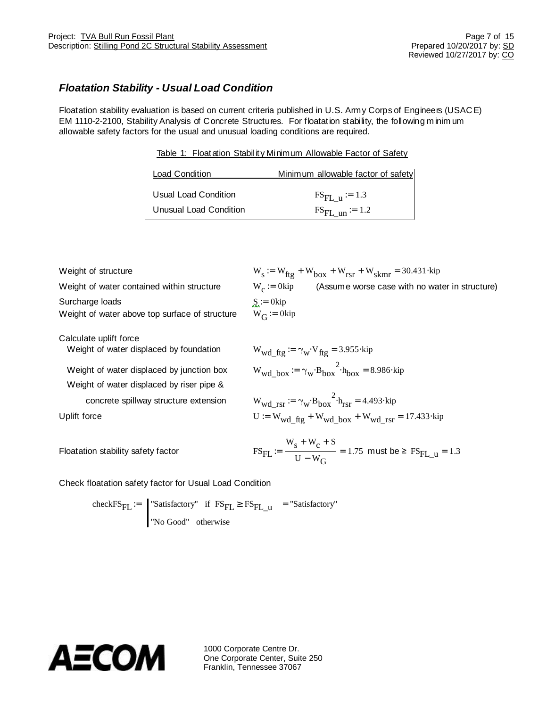### *Floatation Stability - Usual Load Condition*

Floatation stability evaluation is based on current criteria published in U.S. Army Corps of Engineers (USAC E) EM 1110-2-2100, Stability Analysis of Concrete Structures. For floatation stability, the following m inim um allowable safety factors for the usual and unusual loading conditions are required.

Table 1: Floatation Stability Minimum Allowable Factor of Safety

| <b>Load Condition</b>  | Minimum allowable factor of safety |
|------------------------|------------------------------------|
| Usual Load Condition   | $FS_{FL}$ u = 1.3                  |
| Unusual Load Condition | $FS_{FL \text{ un}} = 1.2$         |

| Weight of structure                                                                    | $W_s = W_{\text{ftg}} + W_{\text{box}} + W_{\text{rsr}} + W_{\text{skmr}} = 30.431 \text{ kip}$                        |
|----------------------------------------------------------------------------------------|------------------------------------------------------------------------------------------------------------------------|
| Weight of water contained within structure                                             | (Assume worse case with no water in structure)<br>$W_c := 0$ kip                                                       |
| Surcharge loads<br>Weight of water above top surface of structure                      | $S := 0$ kip<br>$W_G = 0$ kip                                                                                          |
| Calculate uplift force<br>Weight of water displaced by foundation                      | $W_{\text{wd\_fig}} \coloneqq \gamma_{\text{w}} W_{\text{fig}} = 3.955 \text{kip}$                                     |
| Weight of water displaced by junction box<br>Weight of water displaced by riser pipe & | $W_{\text{wd}}$ box = $\gamma_{\text{w}}$ $\mathcal{B}_{\text{box}}^2$ $\mathcal{B}_{\text{box}} = 8.986$ $\text{kip}$ |
| concrete spillway structure extension                                                  | $W_{\text{wd} \text{rsr}} = \gamma_{\text{w}} \delta \theta_{\text{box}}^2 A_{\text{rsr}} = 4.493 \text{kip}$          |

Uplift force  $U := W_{wd} f_{tg} + W_{wd} b_{ox} + W_{wd} r_{sr} = 17.433 \text{ kip}$ 

Floatation stability safety factor F

$$
FS_{FL} := \frac{W_s + W_c + S}{U - W_G} = 1.75 \text{ must be } \ge FS_{FL\_u} = 1.3
$$

Check floatation safety factor for Usual Load Condition

check $FS_{FL}$  :=  $\parallel$  "Satisfactory" if  $FS_{FL}$ <sup>3</sup>  $FS_{FL_u}$ "No Good" otherwise  $:=$  "Satisfactory" if  $FS_{\overline{FI}}$ <sup>3</sup>  $FS_{\overline{FI}}$ <sub>11</sub> = "Satisfactory"

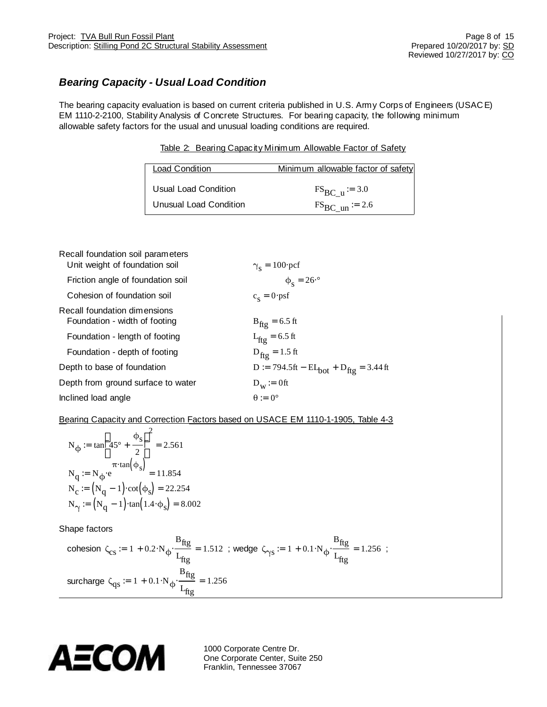## *Bearing Capacity - Usual Load Condition*

The bearing capacity evaluation is based on current criteria published in U.S. Army Corps of Engineers (USAC E) EM 1110-2-2100, Stability Analysis of Concrete Structures. For bearing capacity, the following minimum allowable safety factors for the usual and unusual loading conditions are required.

Table 2: Bearing Capacity Minimum Allowable Factor of Safety

| Load Condition         | Minimum allowable factor of safety |
|------------------------|------------------------------------|
| Usual Load Condition   | $FS_{BC}$ u = 3.0                  |
| Unusual Load Condition | $FS_{BC}$ un = 2.6                 |

| Recall foundation soil parameters<br>Unit weight of foundation soil | $\gamma_s = 100 \text{~pcf}$                                  |
|---------------------------------------------------------------------|---------------------------------------------------------------|
| Friction angle of foundation soil                                   | $\phi_{\rm s} = 26\mathcal{R}$                                |
| Cohesion of foundation soil                                         | $c_s = 0$ xpsf                                                |
| Recall foundation dimensions<br>Foundation - width of footing       | $B_{\text{ftg}} = 6.5 \text{ ft}$                             |
| Foundation - length of footing                                      | $L_{\text{ftg}} = 6.5 \text{ ft}$                             |
| Foundation - depth of footing                                       | $D_{\text{ftg}} = 1.5 \text{ ft}$                             |
| Depth to base of foundation                                         | $D := 794.5 \text{ft} - EL_{bot} + D_{ftg} = 3.44 \text{ ft}$ |
| Depth from ground surface to water                                  | $D_w := 0$ ft                                                 |
| Inclined load angle                                                 | $\theta := 0^{\circ}$                                         |

### Bearing Capacity and Correction Factors based on USACE EM 1110-1-1905, Table 4-3

$$
N_{\varphi} := \tan \frac{\mathfrak{B}}{\mathfrak{e}} \mathfrak{S}^2
$$
  
\n
$$
N_{q} := N_{\varphi} \mathfrak{S}^2
$$
  
\n
$$
N_{q} := N_{\varphi} \mathfrak{S}^2
$$
  
\n
$$
N_{q} := N_{\varphi} \mathfrak{S}^2
$$
  
\n
$$
N_{\varphi} := (N_{q} - 1) \times \cot(\varphi_s) = 22.254
$$
  
\n
$$
N_{\gamma} := (N_{q} - 1) \times \tan(1.4 \times \varphi_s) = 8.002
$$

Shape factors

cohesion 
$$
\zeta_{cs} := 1 + 0.2 \mathcal{N} \phi \frac{B_{\text{ftg}}}{L_{\text{ftg}}} = 1.512
$$
; wedge  $\zeta_{\gamma s} := 1 + 0.1 \mathcal{N} \phi \frac{B_{\text{ftg}}}{L_{\text{ftg}}} = 1.256$ ;  
sureharge  $\zeta_{qs} := 1 + 0.1 \mathcal{N} \phi \frac{B_{\text{ftg}}}{L_{\text{ftg}}} = 1.256$ 

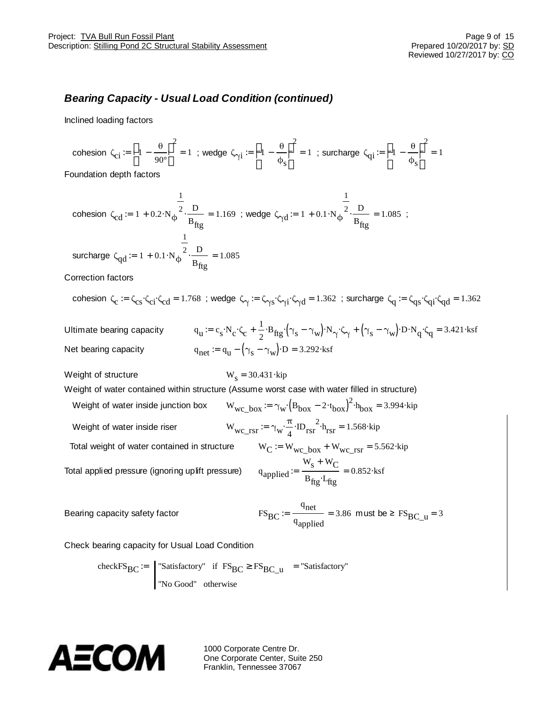### *Bearing Capacity - Usual Load Condition (continued)*

Inclined loading factors

cohesion  $\zeta_{\text{ci}} = \frac{20}{6} - \frac{\theta}{90}$  $\frac{90^{\circ}}{90^{\circ}}\frac{6}{90^{\circ}}$ 2  $x = \frac{20}{5}$  -  $\frac{\theta}{2} = 1$ ; wedge  $\zeta_{\gamma i} = \frac{20}{5}$  -  $\frac{\theta}{\phi}$  $\frac{1}{\phi_{s}g}$ 2  $x = \frac{2}{5}$  =  $\frac{1}{5}$  =  $\frac{6}{5}$  = 1 ; surcharge  $\zeta_{qi} = \frac{2}{5}$  =  $\frac{1}{5}$  $\frac{1}{\phi_{s}^2}$ 2  $:=$   $\frac{64}{1}$  -  $\frac{64}{1}$  -  $\frac{1}{2}$  = 1

Foundation depth factors

cohesion 
$$
\zeta_{cd} := 1 + 0.2 \mathcal{N} \phi \frac{\frac{1}{2}}{B_{fig}} = 1.169
$$
; wedge  $\zeta_{\gamma d} := 1 + 0.1 \mathcal{N} \phi \frac{\frac{1}{2}}{B_{fig}} = 1.085$ ;  
sureharge  $\zeta_{qd} := 1 + 0.1 \mathcal{N} \phi \frac{\frac{1}{2}}{B_{fig}} = 1.085$ 

Correction factors

$$
\text{cohesion }\zeta_c:=\zeta_{cs}\times_{ci}\zeta_{cd}=1.768\text{ ; wedge }\zeta_\gamma:=\zeta_{\gamma s}\times_{\gamma i}\zeta_{\gamma d}=1.362\text{ ; succhard}\ \zeta_q:=\zeta_{qs}\times_{qi}\zeta_{qd}=1.362
$$

Ultimate bearing capacity q  $u = c_s X_c X_c + \frac{1}{2}$  $\mathcal{L} = c_s \mathbf{N}_c \mathbf{X}_c + \frac{1}{2} \mathbf{B}_{\text{ftg}} \mathbf{X} \mathbf{Y}_s - \mathbf{\gamma}_w \mathbf{X}_\mathbf{N} \mathbf{X}_\mathbf{N} + (\mathbf{\gamma}_s - \mathbf{\gamma}_w) \mathbf{X}_\mathbf{N} \mathbf{X}_\mathbf{Q} = 3.421 \text{ksf}$ Net bearing capacity  $y = q_u - (\gamma_s - \gamma_w) \Delta D = 3.292 \lambda s$ 

Weight of structure

 $W_s = 30.431$  kip

Weight of water contained within structure (Assume worst case with water filled in structure)

Weight of water inside junction box Weight of water inside riser  $W_{wc}$ 

Total weight of water contained in structure

Total applied pressure (ignoring uplift pressure)

$$
rsr := \gamma_W \frac{\pi}{4} \lambda D_{rsr}^2 \lambda_{rsr} = 1.568 \lambda_{\text{tip}}
$$
  
\n
$$
W_C := W_{wc\_box} + W_{wc\_rsr} = 5.562 \lambda_{\text{tip}}
$$
  
\n
$$
q_{\text{applied}} := \frac{W_s + W_C}{B_{\text{fig}} \lambda_{\text{fig}}} = 0.852 \lambda_{\text{tsf}}
$$

 $\mathcal{B} = \gamma_{\text{w}} \left\{ B_{\text{box}} - 2x_{\text{box}} \right\}^2 x_{\text{box}} = 3.994 x_{\text{up}}$ 

Bearing capacity safety factor

$$
FS_{BC} := \frac{q_{net}}{q_{applied}} = 3.86 \text{ must be } \geq FS_{BC\_u} = 3
$$

Check bearing capacity for Usual Load Condition

checkFS<sub>BC</sub> :=  $\vert$  "Satisfactory" if FS<sub>BC</sub><sup>3</sup> FS<sub>BC</sub><sub>\_u</sub> "No Good" otherwise  $:=$  "Satisfactory" if  $FS_{BC}$ <sup>3</sup>  $FS_{BC}$  = "Satisfactory"

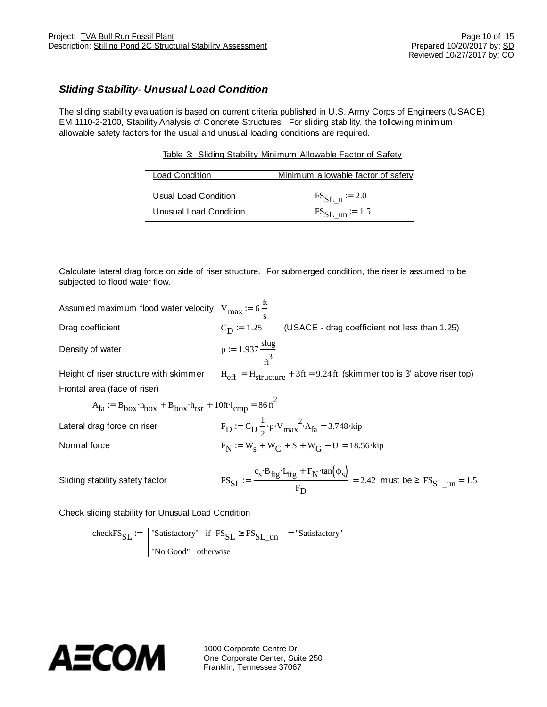### *Sliding Stability- Unusual Load Condition*

The sliding stability evaluation is based on current criteria published in U.S. Army Corps of Engineers (USACE) EM 1110-2-2100, Stability Analysis of Concrete Structures. For sliding stability, the following m inim um allowable safety factors for the usual and unusual loading conditions are required.

|  | Table 3: Sliding Stability Minimum Allowable Factor of Safety |  |  |
|--|---------------------------------------------------------------|--|--|
|  |                                                               |  |  |

| <b>Load Condition</b>  | Minimum allowable factor of safety |
|------------------------|------------------------------------|
| Usual Load Condition   | $FS_{SL}$ u = 2.0                  |
| Unusual Load Condition | $\text{FS}_{\text{SL}}$ un = 1.5   |

Calculate lateral drag force on side of riser structure. For submerged condition, the riser is assumed to be subjected to flood water flow.

| Assumed maximum flood water velocity $V_{max} = 6 \frac{\pi}{s}$                           |                                         |                                                                                                                                                                           |
|--------------------------------------------------------------------------------------------|-----------------------------------------|---------------------------------------------------------------------------------------------------------------------------------------------------------------------------|
| Drag coefficient                                                                           | $C_{\rm D} = 1.25$                      | (USACE - drag coefficient not less than 1.25)                                                                                                                             |
| Density of water                                                                           | $\rho := 1.937 \frac{\text{slug}}{f^3}$ |                                                                                                                                                                           |
| Height of riser structure with skimmer                                                     |                                         | $H_{eff}$ = $H_{structure}$ + 3ft = 9.24 ft (skimmer top is 3' above riser top)                                                                                           |
| Frontal area (face of riser)                                                               |                                         |                                                                                                                                                                           |
| $A_{fa}$ = $B_{box}$ $A_{box}$ + $B_{box}$ $A_{rsr}$ + 10ft $A_{cmn}$ = 86 ft <sup>2</sup> |                                         |                                                                                                                                                                           |
| Lateral drag force on riser                                                                |                                         | $F_D = C_D \frac{1}{2} \phi W_{max}^2 A_{fa} = 3.748$ *kip                                                                                                                |
| Normal force                                                                               |                                         | $F_N := W_s + W_C + S + W_G - U = 18.56$ *kip                                                                                                                             |
| Sliding stability safety factor                                                            |                                         | $\text{FS}_{SL} := \frac{c_s \mathcal{B}_{\text{ftg}} \mathcal{A}_{\text{ftg}} + F_N \text{tan}(\phi_s)}{E} = 2.42 \text{ must be } \geq \text{FS}_{SL \text{ un}} = 1.5$ |
| Check sliding stability for Unusual Load Condition                                         |                                         |                                                                                                                                                                           |

check $\text{FS}_{\text{SL}}$  :=  $\text{``Satisfactory''}$  if  $\text{FS}_{\text{SL}}$ <sup>3</sup>  $\text{FS}_{\text{SL}}$ <sub>un</sub> "No Good" otherwise  $:=$  "Satisfactory" if  $FS_{ST}$ <sup>3</sup>  $FS_{ST}$ <sub>un</sub> = "Satisfactory"

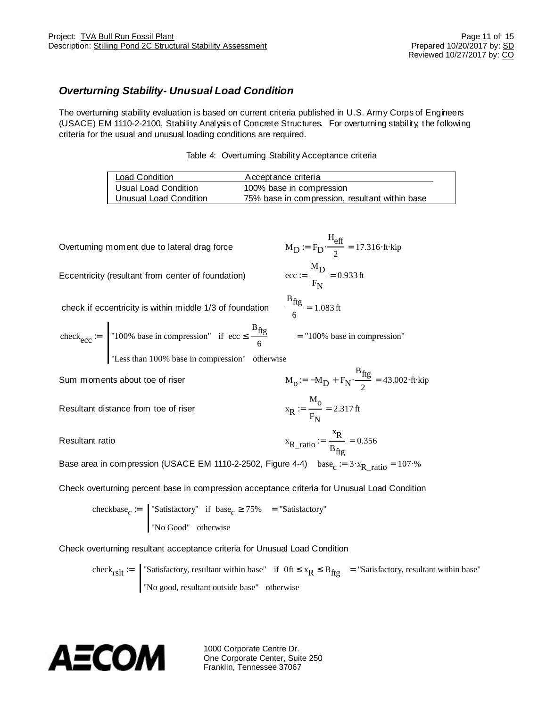### *Overturning Stability- Unusual Load Condition*

The overturning stability evaluation is based on current criteria published in U.S. Army Corps of Engineers (USACE) EM 1110-2-2100, Stability Analysis of Concrete Structures. For overturning stability, the following criteria for the usual and unusual loading conditions are required.

| Table 4: Overtuming Stability Acceptance criteria |  |  |
|---------------------------------------------------|--|--|
|                                                   |  |  |

| Load Condition         | Acceptance criteria                            |
|------------------------|------------------------------------------------|
| Usual Load Condition   | 100% base in compression                       |
| Unusual Load Condition | 75% base in compression, resultant within base |

 $B_{\text{ftg}}$ 6

Overturning moment due to lateral drag force

Eccentricity (resultant from center of foundation)

$$
MD := FD \times \frac{Peff}{2} = 17.316 \text{At} \text{skip}
$$

$$
\text{ecc} := \frac{MD}{FN} = 0.933 \text{ ft}
$$

:= = "100% base in compression"

 $F_{\rm N}$ 

 $B_{\text{ftg}}$ 2  $:= -M_D + F_N \times \frac{R_S}{r} = 43.002 \times \text{tki}$ 

 $= 1.083$  ft

 $H_{\text{eq}}$ 

check if eccentricity is within middle 1/3 of foundation

check<sub>ecc</sub> := 
$$
\begin{array}{c} \n\text{100\% base in compression} \\
\text{100\% base in compression} \\
\text{100\% base} \\
\text{100\% base} \\
\text{100\% base} \\
\text{100\% base} \\
\text{100\% base} \\
\text{100\% base} \\
\text{100\% base} \\
\text{100\% base} \\
\text{100\% base} \\
\text{100\% base} \\
\text{100\% base} \\
\text{100\% base} \\
\text{100\% base} \\
\text{100\% base} \\
\text{100\% base} \\
\text{100\% base} \\
\text{100\% base} \\
\text{100\% base} \\
\text{100\% base} \\
\text{100\% base} \\
\text{100\% base} \\
\text{100\% base} \\
\text{100\% base} \\
\text{100\% base} \\
\text{100\% base} \\
\text{100\% base} \\
\text{100\% base} \\
\text{100\% base} \\
\text{100\% base} \\
\text{100\% base} \\
\text{100\% base} \\
\text{100\% base} \\
\text{100\% base} \\
\text{100\% base} \\
\text{100\% base} \\
\text{100\% base} \\
\text{100\% base} \\
\text{100\% base} \\
\text{100\% base} \\
\text{100\% base} \\
\text{100\% base} \\
\text{100\% base} \\
\text{100\% base} \\
\text{100\% base} \\
\text{100\% base} \\
\text{100\% base} \\
\text{100\% base} \\
\text{100\% base} \\
\text{100\% base} \\
\text{100\% base} \\
\text{100\% base} \\
\text{100\% base} \\
\text{100\% base} \\
\text{100\% base} \\
\text{100\% base} \\
\text{100\% base} \\
\text{100\% base} \\
\text{100\% base} \\
\text{100\% base} \\
\text{100\% base} \\
\text{100\% base} \\
\text{100\% base} \\
\text{100\% base} \\
\text{100\% base} \\
\text{100\% base} \\
\
$$

"Less than 100% base in compression" otherwise

Sum moments about toe of riser

Resultant distance from toe of riser

Resultant ratio

$$
F_N
$$
  

$$
x_{R\_ratio} := \frac{x_R}{B_{fig}} = 0.356
$$

 $:=$   $\frac{6}{1}$  = 2.317 ft

 $\rm M_{O}$ 

Base area in compression (USACE EM 1110-2-2502, Figure 4-4) base<sub>c</sub> := 3 $\frac{1}{x_{R\_ratio}}$  = 107 $\%$ 

Check overturning percent base in compression acceptance criteria for Unusual Load Condition

checkbase<sub>c</sub> :=  $\int$  "Satisfactory" if base<sub>c</sub> <sup>3</sup> 75% "No Good" otherwise  $:=$  "Satisfactory" if base <sup>3</sup> 75% = "Satisfactory"

Check overturning resultant acceptance criteria for Unusual Load Condition

check<sub>rslt</sub> :=  $\int$  "Satisfactory, resultant within base" if Oft  $\mathbf{\pounds}$  x<sub>R</sub>  $\mathbf{\pounds}$  B<sub>ftg</sub> "No good, resultant outside base" otherwise  $\mathcal{L} =$  "Satisfactory, resultant within base" if  $0$ ft  $\mathcal{L}$  x<sub>R</sub>  $\mathcal{L}$  B<sub>fto</sub> = "Satisfactory, resultant within base"

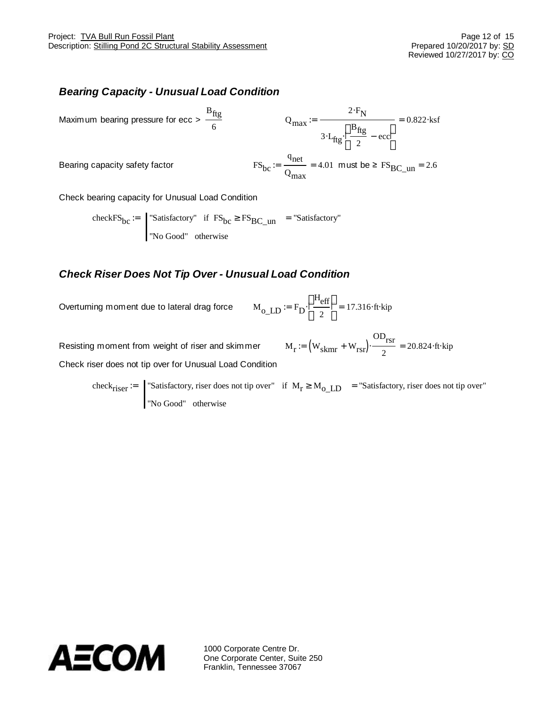### *Bearing Capacity - Unusual Load Condition*

Maximum bearing pressure for 
$$
ecc > \frac{B_{\text{ftg}}}{6}
$$
  
\n $Q_{\text{max}} := \frac{2 \times F_N}{3 \times f_{\text{ftg}} \times \frac{2 \times F}{e^2} - \frac{0.822 \times s f}{e^2}}$   
\n $3 \times f_{\text{ftg}} \times \frac{2 \times F_N}{e^2} - \frac{0.822 \times s f}{e^2}$   
\n $FS_{\text{bc}} := \frac{q_{\text{net}}}{Q_{\text{max}}} = 4.01 \text{ must be } \geq FS_{\text{BC\_un}} = 2.6$ 

Check bearing capacity for Unusual Load Condition

checkFS<sub>bc</sub>  $=$   $\vert$  "Satisfactory" if FS<sub>bc</sub><sup>3</sup> FS<sub>BC\_un</sub> "No Good" otherwise  $:=$  "Satisfactory" if  $FS_{bc}$ <sup>3</sup>  $FS_{BC}$ <sub>un</sub> = "Satisfactory"

### *Check Riser Does Not Tip Over - Unusual Load Condition*

Overturning moment due to lateral drag force

$$
M_{o\_LD} := F_D \chi_{\hat{e}}^{3H_{eff}} \frac{\ddot{\sigma}}{2} = 17.316 \text{M}
$$

Resisting moment from weight of riser and skimmer Check riser does not tip over for Unusual Load Condition

$$
M_r := (W_{skmr} + W_{rsr}) \times \frac{OD_{rsr}}{2} = 20.824 \text{At} \text{skip}
$$

check<sub>riser</sub>  $=$  "Satisfactory, riser does not tip over" if  $M_r$ <sup>3</sup>  $M_o$ <sub>LD</sub> "No Good" otherwise  $\mathcal{L} =$  "Satisfactory, riser does not tip over" if  $M_r$ <sup>3</sup>  $M_{\Omega$ <sub>D</sub> = "Satisfactory, riser does not tip over"

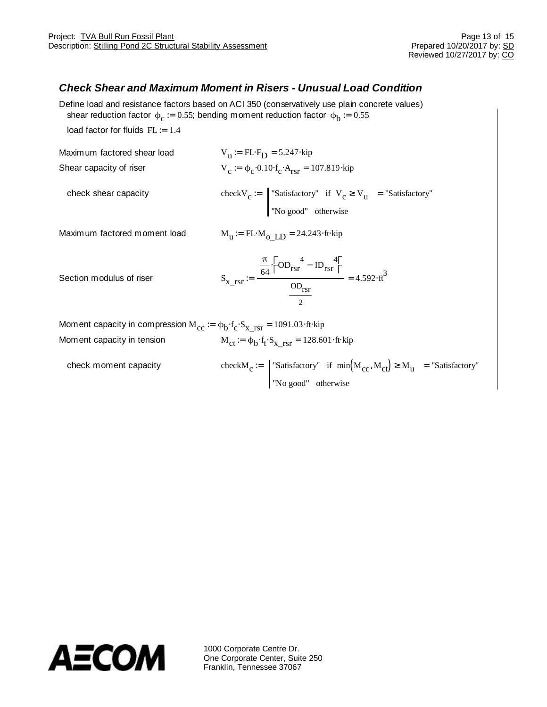### *Check Shear and Maximum Moment in Risers - Unusual Load Condition*

Define load and resistance factors based on ACI 350 (conservatively use plain concrete values) shear reduction factor  $\phi_c$  := 0.55; bending moment reduction factor  $\phi_b$  := 0.55

load factor for fluids  $FL = 1.4$ 

Maximum factored shear load  $:=$  FL $\times$ <sub>D</sub> = 5.247 $\times$ kip Shear capacity of riser  $\approx \phi_c \times 0.10 \times_c \times T_{\text{rsr}} = 107.819 \times \text{kip}$ 

check shear capacity

"Satisfactory" if  $V_c$ <sup>3</sup> V<sub>u</sub> "No good" otherwise  $\mathcal{L} =$  "Satisfactory" if  $V_c^3$   $V_u =$  "Satisfactory"

Maximum factored moment load

 $M_u := FLM_0$   $LD = 24.243$  at kip

Section modulus of riser

$$
S_{X\_rsr} := \frac{\frac{\pi}{64} \times 0.0 \text{ m/sr}^4 - 10 \text{ m/sr}}{\frac{\text{OD}_{rsr}}{2}} = 4.592 \times t^3
$$

Moment capacity in compression  $\rm M_{\rm cc} \coloneqq \varphi_{b} \rm \AA_c \rm \AA_{X\_rsr}$  = 1091.03 $\rm \AA$ t $\rm \AA$ ip Moment capacity in tension  $\mathcal{F} = \phi_b \mathcal{F}_t \mathcal{F}_{X_TST} = 128.601 \mathcal{F}_t \mathcal{F}_t$ 

| check moment capacity | check $M_c :=$ Satisfactory" if $min(M_{cc}, M_{ct})^3$ $M_u$ = "Satisfactory" |
|-----------------------|--------------------------------------------------------------------------------|
|                       | "No good" otherwise                                                            |

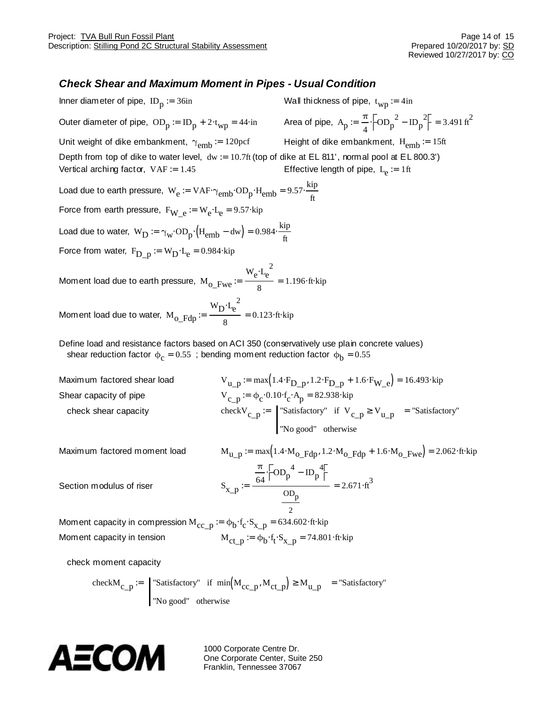### *Check Shear and Maximum Moment in Pipes - Usual Condition*

Inner diameter of pipe,  $ID_p = 36$ in Wall thickness of pipe,  $t_{WD} := 4in$ Outer diameter of pipe,  $OD_p := ID_p + 2\lambda_{wp} = 44$  $\lambda$ in Area of pipe,  $A_p$ π  $\frac{\pi}{4}$   $\frac{3}{6}$ OD<sub>p</sub><sup>2</sup> - ID<sub>p</sub><sup>2</sup> $\frac{2}{6}$  = 3.491 ft<sup>2</sup> Unit weight of dike embankment,  $\gamma_{emb} = 120 \text{pcf}$  Height of dike embankment,  $H_{emb} = 15 \text{ft}$ Depth from top of dike to water level, dw := 10.7ft (top of dike at EL 811', normal pool at EL 800.3') Vertical arching factor,  $VAF = 1.45$ Effective length of pipe,  $L_e := 1$ ft Load due to earth pressure,  $W_e = VAF \otimes_{emb} OD_p * H_{emb} = 9.57 \times \frac{kip}{6}$ ft  $\mu = \text{VAF} \times_{\text{lamb}} \text{OD}_n \times \text{H}_{\text{emb}} = 9.57$ Force from earth pressure,  $\rm{F_{W\_e}} \coloneqq \rm{W_{e}A_{e}} \rm{= 9.57}$ xip Load due to water,  $W_D = \gamma_W \lambda^2 \text{OD}_p \lambda^2 H_{\text{emb}}$  - dw) = 0.984 $\times \frac{\text{kip}}{\text{A}}$ ft  $:= \gamma_{\rm w} \times 0$   $\sum_{n=1}$   $\mathcal{H}_{\rm emb}$  - dw  $= 0.984$ Force from water,  $F_{D\_p} \coloneqq W_{D} \lambda_{e}$  = 0.984 $\lambda$ kip Moment load due to earth pressure,  $\rm\,M_{\rm \,O}_{\rm -}$ Fwe  $W_e$  $\chi_e^2$ 8  $:=$   $\frac{6}{1}$  = 1.196 $\forall$ t $\times$ kip Moment load due to water,  $\rm\,M_{o\_Fd p}$  $W_Dx_e^2$ 8  $:= \frac{12.66}{\pi} = 0.123$   $\forall$ t $\times$ kip Define load and resistance factors based on ACI 350 (conservatively use plain concrete values) shear reduction factor  $\phi_{\rm c}$  = 0.55 ; bending moment reduction factor  $\phi_{\rm b}$  = 0.55 Maximum factored shear load  $V_{\text{u-p}} := \max \left( 1.4 \times \frac{F_{\text{D-p}}}{1.2 \times \text{D-p}} + 1.6 \times \frac{F_{\text{W}}}{1.6} \right) = 16.493 \times \text{kip}}$ Shear capacity of pipe  $\phi_c = \phi_c \times 0.10 \times_{c} \times A_p = 82.938 \times 10^{10}$ check shear capacity check $V_{c_p}$  =  $\vert$  "Satisfactory" if  $V_{c_p}$ <sup>3</sup>  $V_{u_p}$ "No good" otherwise  $\mathcal{L} =$  "Satisfactory" if  $V_{c}$   $n^3$   $V_{11}$   $n =$  "Satisfactory" Maximum factored moment load  $M_{u_p} = max(1.4 M_{o_Fdp}, 1.2 M_{o_Fdp} + 1.6 M_{o_Fwe}) = 2.062$  Kiva is a set of  $m_{u_p}$ Section modulus of riser π  $\frac{\pi}{64}$   $\bigotimes^4 \text{OD}_p^4$  -  $\text{ID}_p^4$  $op_{\mathsf{p}}$  $\frac{64}{5} = \frac{64}{5} = 2.671 \text{m}^3$ 

2 Moment capacity in compression  $\rm M_{\rm CC\_p} \coloneqq \varphi_{\rm b} \rm \not x_{\rm c} \bm{\cdot} \bm{\raisebox{0.5ex}{\scriptsize s}}_{\rm X\_p}$  = 634.602 $\rm \not\it x$ tip Moment capacity in tension  $\mathcal{F} = \phi_b \mathcal{F}_t \mathcal{F}_{x\_p} = 74.801 \mathcal{F}$ 

check moment capacity

$$
\text{checkM}_{c\_p} := \begin{bmatrix} \text{``Satisfactory''} & \text{if } \min(M_{cc\_p}, M_{ct\_p}) \text{''} \\ \text{``No good''} & \text{otherwise} \end{bmatrix} \text{''} \text{M}_{u\_p} = \text{``Satisfactory''}
$$

AECOM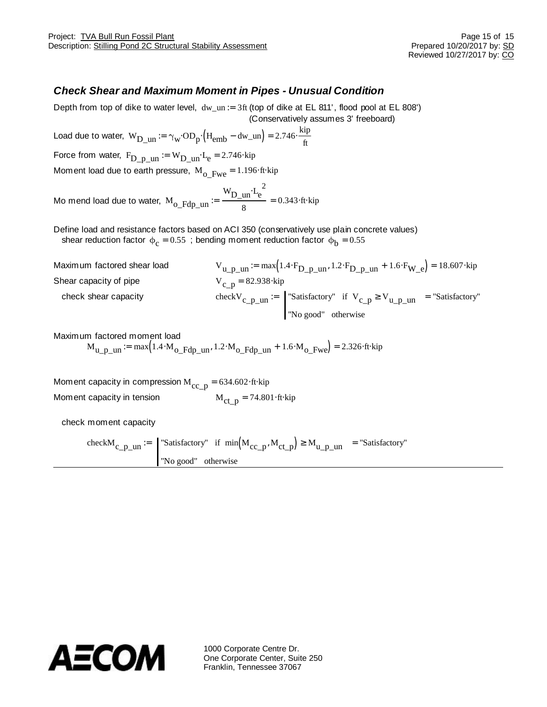### *Check Shear and Maximum Moment in Pipes - Unusual Condition*

Depth from top of dike to water level,  $dw\_un := 3ft$  (top of dike at EL 811', flood pool at EL 808') (Conservatively assumes 3' freeboard)

Load due to water,  $W_{D\_un} = \gamma_W \times D_p \times (H_{emb} - dw\_un) = 2.746 \times \frac{kip}{f}$  $:= \gamma_{\text{w}}\text{OD}_{\text{n}}\times H_{\text{emb}}$  - dw\_un) = 2.746> Force from water,  $\rm F_{D\_p\_un} \coloneqq \rm W_{D\_un} \rm {\mathcal{A}}_{e}$  = 2.746 $\rm {kip}$ 

Moment load due to earth pressure,  $M_0$ <sub>Dwe</sub> = 1.196  $\text{At} \times \text{tp}$ 

Mo mend load due to water,  $\rm\,M_{O\_Fdp\_un}$  $W_{D\_un}$  $\chi_e^2$ 8  $:= \frac{D_{\text{max}}}{I} = 0.343 \text{m/s}$ 

Define load and resistance factors based on ACI 350 (conservatively use plain concrete values) shear reduction factor  $\phi_{\text{c}}$  = 0.55 ; bending moment reduction factor  $\phi_{\text{b}}$  = 0.55

| Maximum factored shear load | $V_{u_p \text{min}} := \max(1.4 \times_{D_p \text{min}} 1.2 \times_{D_p \text{min}} 1.6 \times_{W_e} 1.6 \times_{W_e} 1.8607 \text{ kip})$ |
|-----------------------------|--------------------------------------------------------------------------------------------------------------------------------------------|
| Shear capacity of pipe      | $V_{c}$ n = 82.938 $\star$ kip                                                                                                             |
| check shear capacity        | check $V_c$ p un $:=$ Satisfactory" if $V_c$ p <sup>3</sup> $V_u$ p un = "Satisfactory"                                                    |
|                             | "No good" otherwise                                                                                                                        |

ft

Maximum factored moment load

 $M_{\text{u-p-un}} = \text{max} \left( 1.4 \text{M}_{\text{O-Hdp-un}} , 1.2 \text{M}_{\text{O-Hdp-un}} + 1.6 \text{M}_{\text{O-Hw}} \right) = 2.326 \text{At} \text{kip}$ 

Moment capacity in compression  $M_{cc-p} = 634.602 \text{m/s}$ Moment capacity in tension  $M_{\text{ct-p}} = 74.801 \text{m}$  for  $M_{\text{ct-p}} = 74.801 \text{m}$ 

check moment capacity

check $M_{c_p \text{min}} =$  Satisfactory" if  $min(M_{cc_p}, M_{ct_p})$ <sup>3</sup> M<sub>u\_p\_un</sub> "No good" otherwise  $:=$  Satisfactory" if  $min(M_{cc}, N_{ct}, N)^3$   $M_{11}$   $_{11}$   $_{11}$   $_{21}$   $_{21}$   $_{21}$   $_{21}$   $_{21}$   $_{21}$   $_{21}$   $_{21}$   $_{21}$   $_{21}$   $_{21}$   $_{21}$   $_{21}$   $_{21}$   $_{21}$   $_{21}$   $_{21}$   $_{21}$   $_{21}$   $_{21}$   $_{21}$   $_{21}$   $_{21}$   $_{$ 

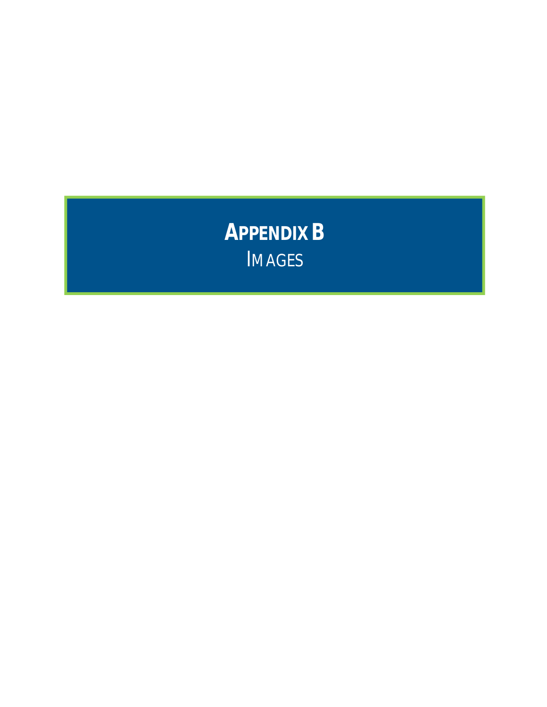**APPENDIX B** IMAGES